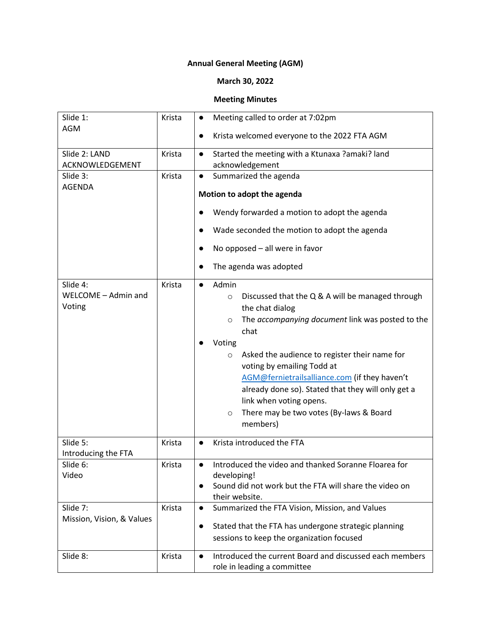## **Annual General Meeting (AGM)**

## **March 30, 2022**

## **Meeting Minutes**

| Slide 1:<br><b>AGM</b>                    | Krista | Meeting called to order at 7:02pm<br>$\bullet$<br>Krista welcomed everyone to the 2022 FTA AGM                                                                                                                                                                                                                                                                                                                                                                                      |
|-------------------------------------------|--------|-------------------------------------------------------------------------------------------------------------------------------------------------------------------------------------------------------------------------------------------------------------------------------------------------------------------------------------------------------------------------------------------------------------------------------------------------------------------------------------|
| Slide 2: LAND<br>ACKNOWLEDGEMENT          | Krista | Started the meeting with a Ktunaxa ?amaki? land<br>$\bullet$<br>acknowledgement                                                                                                                                                                                                                                                                                                                                                                                                     |
| Slide 3:<br><b>AGENDA</b>                 | Krista | Summarized the agenda<br>$\bullet$<br>Motion to adopt the agenda                                                                                                                                                                                                                                                                                                                                                                                                                    |
|                                           |        | Wendy forwarded a motion to adopt the agenda                                                                                                                                                                                                                                                                                                                                                                                                                                        |
|                                           |        | Wade seconded the motion to adopt the agenda<br>$\bullet$<br>No opposed - all were in favor<br>$\bullet$                                                                                                                                                                                                                                                                                                                                                                            |
|                                           |        | The agenda was adopted<br>$\bullet$                                                                                                                                                                                                                                                                                                                                                                                                                                                 |
| Slide 4:<br>WELCOME - Admin and<br>Voting | Krista | Admin<br>$\bullet$<br>Discussed that the Q & A will be managed through<br>$\circ$<br>the chat dialog<br>The accompanying document link was posted to the<br>$\circ$<br>chat<br>Voting<br>Asked the audience to register their name for<br>$\circ$<br>voting by emailing Todd at<br>AGM@fernietrailsalliance.com (if they haven't<br>already done so). Stated that they will only get a<br>link when voting opens.<br>There may be two votes (By-laws & Board<br>$\circ$<br>members) |
| Slide 5:<br>Introducing the FTA           | Krista | Krista introduced the FTA<br>$\bullet$                                                                                                                                                                                                                                                                                                                                                                                                                                              |
| Slide 6:<br>Video                         | Krista | Introduced the video and thanked Soranne Floarea for<br>$\bullet$<br>developing!<br>Sound did not work but the FTA will share the video on<br>$\bullet$<br>their website.                                                                                                                                                                                                                                                                                                           |
| Slide 7:<br>Mission, Vision, & Values     | Krista | Summarized the FTA Vision, Mission, and Values<br>$\bullet$<br>Stated that the FTA has undergone strategic planning<br>$\bullet$<br>sessions to keep the organization focused                                                                                                                                                                                                                                                                                                       |
| Slide 8:                                  | Krista | Introduced the current Board and discussed each members<br>$\bullet$<br>role in leading a committee                                                                                                                                                                                                                                                                                                                                                                                 |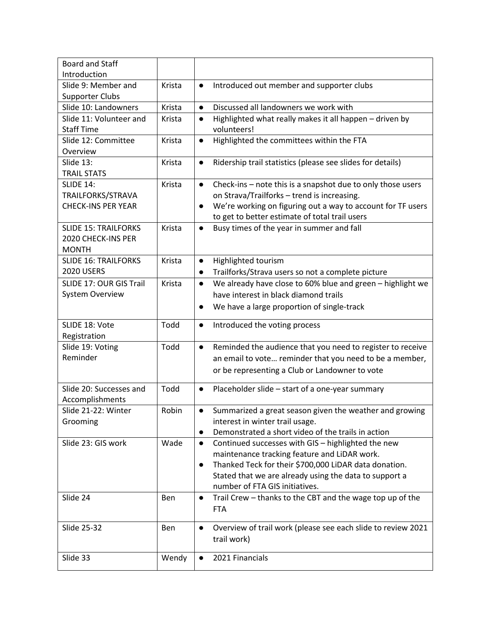| <b>Board and Staff</b>          |        |                                                                                          |
|---------------------------------|--------|------------------------------------------------------------------------------------------|
| Introduction                    |        |                                                                                          |
| Slide 9: Member and             | Krista | Introduced out member and supporter clubs<br>$\bullet$                                   |
| <b>Supporter Clubs</b>          |        |                                                                                          |
| Slide 10: Landowners            | Krista | Discussed all landowners we work with<br>$\bullet$                                       |
| Slide 11: Volunteer and         | Krista | Highlighted what really makes it all happen - driven by<br>$\bullet$                     |
| <b>Staff Time</b>               |        | volunteers!                                                                              |
| Slide 12: Committee<br>Overview | Krista | Highlighted the committees within the FTA<br>$\bullet$                                   |
| Slide 13:                       | Krista | Ridership trail statistics (please see slides for details)<br>$\bullet$                  |
| <b>TRAIL STATS</b>              |        |                                                                                          |
| <b>SLIDE 14:</b>                | Krista | Check-ins - note this is a snapshot due to only those users<br>$\bullet$                 |
| TRAILFORKS/STRAVA               |        | on Strava/Trailforks - trend is increasing.                                              |
| <b>CHECK-INS PER YEAR</b>       |        | We're working on figuring out a way to account for TF users<br>$\bullet$                 |
|                                 |        | to get to better estimate of total trail users                                           |
| <b>SLIDE 15: TRAILFORKS</b>     | Krista | Busy times of the year in summer and fall<br>$\bullet$                                   |
| 2020 CHECK-INS PER              |        |                                                                                          |
| <b>MONTH</b>                    |        |                                                                                          |
| <b>SLIDE 16: TRAILFORKS</b>     | Krista | Highlighted tourism<br>$\bullet$                                                         |
| <b>2020 USERS</b>               |        | Trailforks/Strava users so not a complete picture<br>$\bullet$                           |
| SLIDE 17: OUR GIS Trail         | Krista | We already have close to 60% blue and green - highlight we<br>$\bullet$                  |
| <b>System Overview</b>          |        | have interest in black diamond trails                                                    |
|                                 |        | We have a large proportion of single-track<br>$\bullet$                                  |
|                                 |        |                                                                                          |
| SLIDE 18: Vote                  | Todd   | Introduced the voting process<br>$\bullet$                                               |
| Registration                    |        |                                                                                          |
| Slide 19: Voting                | Todd   | Reminded the audience that you need to register to receive<br>$\bullet$                  |
| Reminder                        |        | an email to vote reminder that you need to be a member,                                  |
|                                 |        | or be representing a Club or Landowner to vote                                           |
| Slide 20: Successes and         | Todd   | Placeholder slide - start of a one-year summary<br>$\bullet$                             |
| Accomplishments                 |        |                                                                                          |
| Slide 21-22: Winter             | Robin  | Summarized a great season given the weather and growing<br>$\bullet$                     |
| Grooming                        |        | interest in winter trail usage.                                                          |
|                                 |        | Demonstrated a short video of the trails in action<br>$\bullet$                          |
| Slide 23: GIS work              | Wade   | Continued successes with GIS - highlighted the new<br>$\bullet$                          |
|                                 |        | maintenance tracking feature and LiDAR work.                                             |
|                                 |        |                                                                                          |
|                                 |        |                                                                                          |
|                                 |        | Thanked Teck for their \$700,000 LiDAR data donation.<br>$\bullet$                       |
|                                 |        | Stated that we are already using the data to support a<br>number of FTA GIS initiatives. |
| Slide 24                        |        | $\bullet$                                                                                |
|                                 | Ben    | Trail Crew - thanks to the CBT and the wage top up of the                                |
|                                 |        | <b>FTA</b>                                                                               |
| Slide 25-32                     | Ben    | Overview of trail work (please see each slide to review 2021<br>$\bullet$                |
|                                 |        | trail work)                                                                              |
| Slide 33                        | Wendy  | 2021 Financials                                                                          |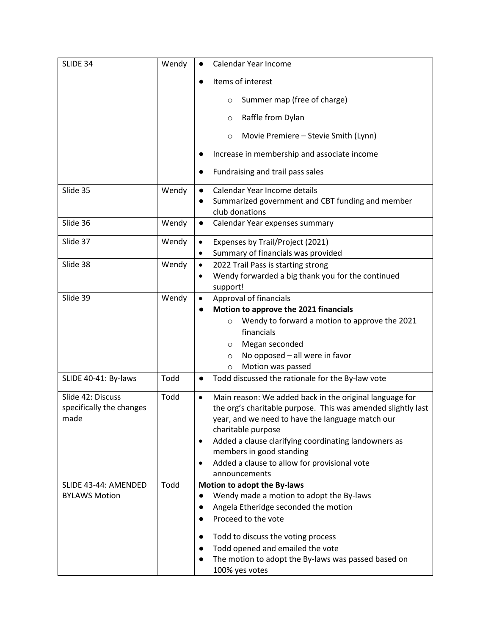| SLIDE 34                 | Wendy | Calendar Year Income                                                                                                         |
|--------------------------|-------|------------------------------------------------------------------------------------------------------------------------------|
|                          |       | Items of interest<br>$\bullet$                                                                                               |
|                          |       | Summer map (free of charge)<br>$\circ$                                                                                       |
|                          |       | Raffle from Dylan<br>$\circ$                                                                                                 |
|                          |       | Movie Premiere - Stevie Smith (Lynn)<br>$\circ$                                                                              |
|                          |       | Increase in membership and associate income                                                                                  |
|                          |       | Fundraising and trail pass sales                                                                                             |
| Slide 35                 | Wendy | Calendar Year Income details<br>$\bullet$<br>Summarized government and CBT funding and member<br>$\bullet$<br>club donations |
| Slide 36                 | Wendy | Calendar Year expenses summary<br>$\bullet$                                                                                  |
| Slide 37                 | Wendy | Expenses by Trail/Project (2021)<br>$\bullet$                                                                                |
| Slide 38                 | Wendy | Summary of financials was provided<br>$\bullet$<br>2022 Trail Pass is starting strong<br>$\bullet$                           |
|                          |       | Wendy forwarded a big thank you for the continued<br>$\bullet$                                                               |
|                          |       | support!                                                                                                                     |
| Slide 39                 | Wendy | Approval of financials<br>$\bullet$                                                                                          |
|                          |       | Motion to approve the 2021 financials                                                                                        |
|                          |       | Wendy to forward a motion to approve the 2021<br>$\circ$                                                                     |
|                          |       | financials                                                                                                                   |
|                          |       | Megan seconded<br>$\circ$                                                                                                    |
|                          |       | No opposed - all were in favor<br>$\circ$                                                                                    |
|                          |       | Motion was passed<br>$\circ$                                                                                                 |
| SLIDE 40-41: By-laws     | Todd  | Todd discussed the rationale for the By-law vote<br>$\bullet$                                                                |
| Slide 42: Discuss        | Todd  | Main reason: We added back in the original language for<br>$\bullet$                                                         |
| specifically the changes |       | the org's charitable purpose. This was amended slightly last                                                                 |
| made                     |       | year, and we need to have the language match our                                                                             |
|                          |       | charitable purpose                                                                                                           |
|                          |       | Added a clause clarifying coordinating landowners as<br>$\bullet$<br>members in good standing                                |
|                          |       | Added a clause to allow for provisional vote<br>$\bullet$                                                                    |
|                          |       | announcements                                                                                                                |
| SLIDE 43-44: AMENDED     | Todd  | Motion to adopt the By-laws                                                                                                  |
| <b>BYLAWS Motion</b>     |       | Wendy made a motion to adopt the By-laws<br>$\bullet$                                                                        |
|                          |       | Angela Etheridge seconded the motion<br>$\bullet$                                                                            |
|                          |       | Proceed to the vote<br>$\bullet$                                                                                             |
|                          |       | Todd to discuss the voting process<br>$\bullet$                                                                              |
|                          |       | Todd opened and emailed the vote<br>$\bullet$                                                                                |
|                          |       | The motion to adopt the By-laws was passed based on<br>$\bullet$                                                             |
|                          |       | 100% yes votes                                                                                                               |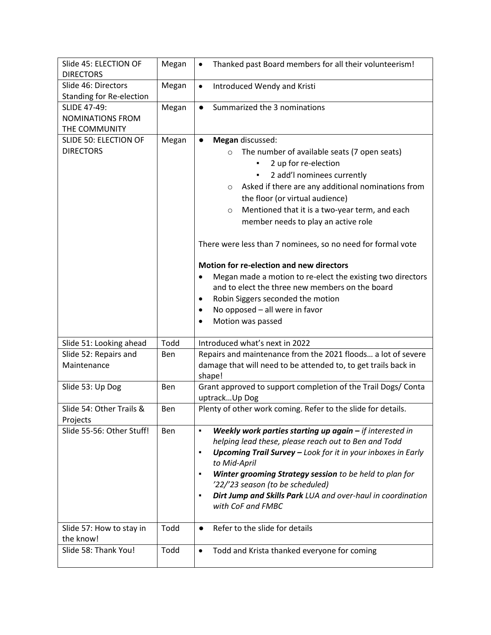| Slide 45: ELECTION OF                                  | Megan      | Thanked past Board members for all their volunteerism!<br>$\bullet$            |
|--------------------------------------------------------|------------|--------------------------------------------------------------------------------|
| <b>DIRECTORS</b>                                       |            |                                                                                |
| Slide 46: Directors                                    | Megan      | Introduced Wendy and Kristi<br>$\bullet$                                       |
| <b>Standing for Re-election</b><br><b>SLIDE 47-49:</b> |            | Summarized the 3 nominations                                                   |
| <b>NOMINATIONS FROM</b>                                | Megan      | $\bullet$                                                                      |
|                                                        |            |                                                                                |
| THE COMMUNITY<br>SLIDE 50: ELECTION OF                 |            | Megan discussed:<br>$\bullet$                                                  |
| <b>DIRECTORS</b>                                       | Megan      |                                                                                |
|                                                        |            | The number of available seats (7 open seats)<br>$\circ$                        |
|                                                        |            | 2 up for re-election                                                           |
|                                                        |            | 2 add'l nominees currently<br>٠                                                |
|                                                        |            | Asked if there are any additional nominations from<br>$\circ$                  |
|                                                        |            | the floor (or virtual audience)                                                |
|                                                        |            | Mentioned that it is a two-year term, and each<br>$\circ$                      |
|                                                        |            | member needs to play an active role                                            |
|                                                        |            | There were less than 7 nominees, so no need for formal vote                    |
|                                                        |            | Motion for re-election and new directors                                       |
|                                                        |            | Megan made a motion to re-elect the existing two directors<br>$\bullet$        |
|                                                        |            | and to elect the three new members on the board                                |
|                                                        |            | Robin Siggers seconded the motion<br>$\bullet$                                 |
|                                                        |            | No opposed - all were in favor<br>$\bullet$                                    |
|                                                        |            | Motion was passed<br>$\bullet$                                                 |
|                                                        |            |                                                                                |
| Slide 51: Looking ahead                                | Todd       | Introduced what's next in 2022                                                 |
| Slide 52: Repairs and                                  | Ben        | Repairs and maintenance from the 2021 floods a lot of severe                   |
| Maintenance                                            |            | damage that will need to be attended to, to get trails back in<br>shape!       |
| Slide 53: Up Dog                                       | Ben        | Grant approved to support completion of the Trail Dogs/ Conta<br>uptrackUp Dog |
| Slide 54: Other Trails &<br>Projects                   | Ben        | Plenty of other work coming. Refer to the slide for details.                   |
| Slide 55-56: Other Stuff!                              | <b>Ben</b> | Weekly work parties starting up again $-$ if interested in<br>$\blacksquare$   |
|                                                        |            | helping lead these, please reach out to Ben and Todd                           |
|                                                        |            | Upcoming Trail Survey - Look for it in your inboxes in Early<br>٠              |
|                                                        |            | to Mid-April                                                                   |
|                                                        |            | Winter grooming Strategy session to be held to plan for<br>٠                   |
|                                                        |            | '22/'23 season (to be scheduled)                                               |
|                                                        |            | Dirt Jump and Skills Park LUA and over-haul in coordination<br>п               |
|                                                        |            | with CoF and FMBC                                                              |
|                                                        |            |                                                                                |
| Slide 57: How to stay in                               | Todd       | Refer to the slide for details<br>$\bullet$                                    |
| the know!                                              |            |                                                                                |
| Slide 58: Thank You!                                   | Todd       | Todd and Krista thanked everyone for coming<br>$\bullet$                       |
|                                                        |            |                                                                                |